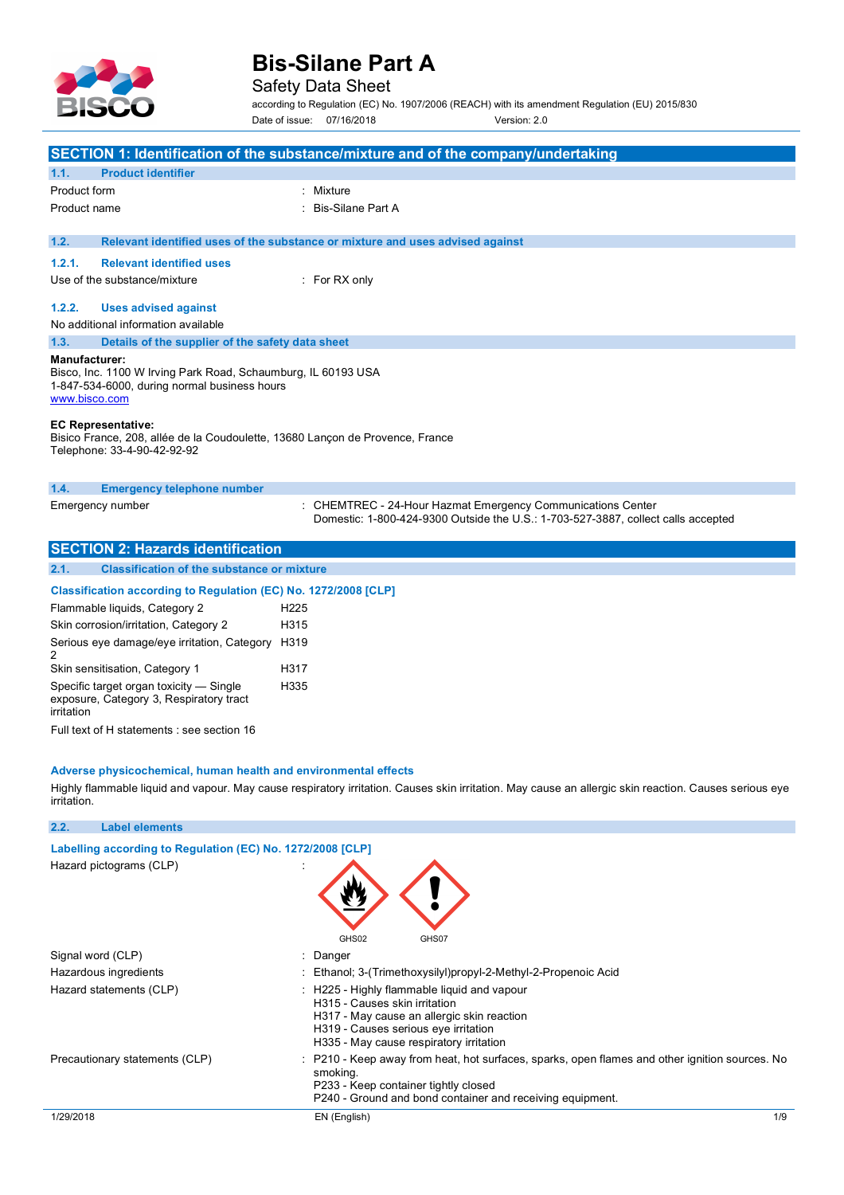

### Safety Data Sheet

according to Regulation (EC) No. 1907/2006 (REACH) with its amendment Regulation (EU) 2015/830 Date of issue: 07/16/2018 Version: 2.0

| SECTION 1: Identification of the substance/mixture and of the company/undertaking                                                                                                                                                                                                                   |                                                                                                                                                  |  |
|-----------------------------------------------------------------------------------------------------------------------------------------------------------------------------------------------------------------------------------------------------------------------------------------------------|--------------------------------------------------------------------------------------------------------------------------------------------------|--|
| 1.1.<br><b>Product identifier</b>                                                                                                                                                                                                                                                                   |                                                                                                                                                  |  |
| Product form                                                                                                                                                                                                                                                                                        | : Mixture                                                                                                                                        |  |
| Product name                                                                                                                                                                                                                                                                                        | <b>Bis-Silane Part A</b>                                                                                                                         |  |
|                                                                                                                                                                                                                                                                                                     |                                                                                                                                                  |  |
| 1.2.                                                                                                                                                                                                                                                                                                | Relevant identified uses of the substance or mixture and uses advised against                                                                    |  |
| 1.2.1.<br><b>Relevant identified uses</b>                                                                                                                                                                                                                                                           |                                                                                                                                                  |  |
| Use of the substance/mixture                                                                                                                                                                                                                                                                        | $:$ For RX only                                                                                                                                  |  |
| 1.2.2.<br><b>Uses advised against</b>                                                                                                                                                                                                                                                               |                                                                                                                                                  |  |
| No additional information available                                                                                                                                                                                                                                                                 |                                                                                                                                                  |  |
| 1.3.<br>Details of the supplier of the safety data sheet                                                                                                                                                                                                                                            |                                                                                                                                                  |  |
| <b>Manufacturer:</b><br>Bisco, Inc. 1100 W Irving Park Road, Schaumburg, IL 60193 USA<br>1-847-534-6000, during normal business hours<br>www.bisco.com<br><b>EC Representative:</b><br>Bisico France, 208, allée de la Coudoulette, 13680 Lancon de Provence, France<br>Telephone: 33-4-90-42-92-92 |                                                                                                                                                  |  |
| 1.4.<br><b>Emergency telephone number</b>                                                                                                                                                                                                                                                           |                                                                                                                                                  |  |
| Emergency number                                                                                                                                                                                                                                                                                    | : CHEMTREC - 24-Hour Hazmat Emergency Communications Center<br>Domestic: 1-800-424-9300 Outside the U.S.: 1-703-527-3887, collect calls accepted |  |
| <b>SECTION 2: Hazards identification</b>                                                                                                                                                                                                                                                            |                                                                                                                                                  |  |
| 2.1.<br><b>Classification of the substance or mixture</b>                                                                                                                                                                                                                                           |                                                                                                                                                  |  |
| Classification according to Regulation (EC) No. 1272/2008 [CLP]                                                                                                                                                                                                                                     |                                                                                                                                                  |  |

| <u>URSSINGENUM AUGULANING IN REGUIATION (LU) NU. TETA</u>                                        |                  |
|--------------------------------------------------------------------------------------------------|------------------|
| Flammable liquids, Category 2                                                                    | H <sub>225</sub> |
| Skin corrosion/irritation, Category 2                                                            | H315             |
| Serious eye damage/eye irritation, Category                                                      | H319             |
| Skin sensitisation, Category 1                                                                   | H317             |
| Specific target organ toxicity - Single<br>exposure, Category 3, Respiratory tract<br>irritation | H335             |
|                                                                                                  |                  |

Full text of H statements : see section 16

**2.2. Label elements**

#### **Adverse physicochemical, human health and environmental effects**

Highly flammable liquid and vapour. May cause respiratory irritation. Causes skin irritation. May cause an allergic skin reaction. Causes serious eye irritation.

| Labelling according to Regulation (EC) No. 1272/2008 [CLP]<br>Hazard pictograms (CLP) | GHS02<br>GHS07                                                                                                                                                                                                  |
|---------------------------------------------------------------------------------------|-----------------------------------------------------------------------------------------------------------------------------------------------------------------------------------------------------------------|
| Signal word (CLP)                                                                     | : Danger                                                                                                                                                                                                        |
| Hazardous ingredients                                                                 | : Ethanol; 3-(Trimethoxysilyl)propyl-2-Methyl-2-Propenoic Acid                                                                                                                                                  |
| Hazard statements (CLP)                                                               | : H225 - Highly flammable liquid and vapour<br>H315 - Causes skin irritation<br>H317 - May cause an allergic skin reaction<br>H319 - Causes serious eye irritation<br>H335 - May cause respiratory irritation   |
| Precautionary statements (CLP)                                                        | : P210 - Keep away from heat, hot surfaces, sparks, open flames and other ignition sources. No<br>smoking.<br>P233 - Keep container tightly closed<br>P240 - Ground and bond container and receiving equipment. |
| 1/29/2018                                                                             | 1/9<br>EN (English)                                                                                                                                                                                             |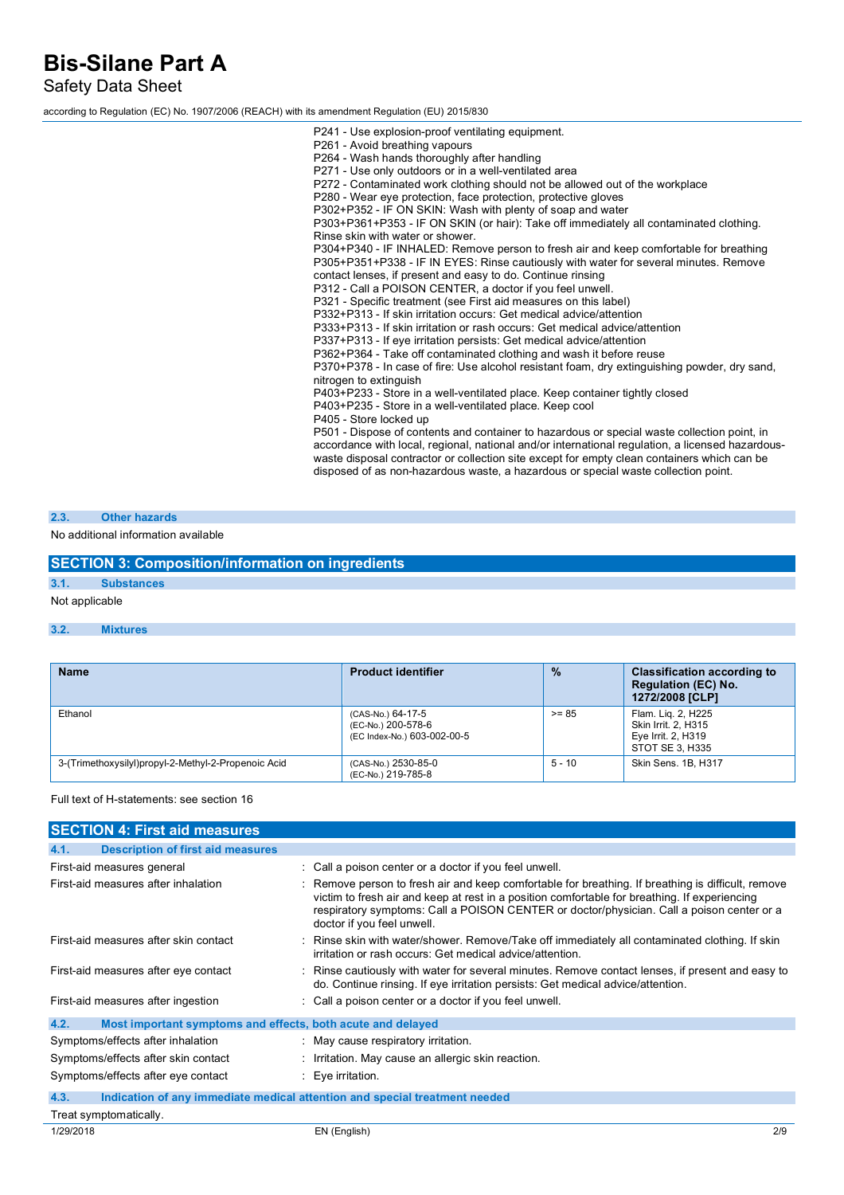Safety Data Sheet

according to Regulation (EC) No. 1907/2006 (REACH) with its amendment Regulation (EU) 2015/830

P241 - Use explosion-proof ventilating equipment. P261 - Avoid breathing vapours P264 - Wash hands thoroughly after handling P271 - Use only outdoors or in a well-ventilated area P272 - Contaminated work clothing should not be allowed out of the workplace P280 - Wear eye protection, face protection, protective gloves P302+P352 - IF ON SKIN: Wash with plenty of soap and water P303+P361+P353 - IF ON SKIN (or hair): Take off immediately all contaminated clothing. Rinse skin with water or shower. P304+P340 - IF INHALED: Remove person to fresh air and keep comfortable for breathing P305+P351+P338 - IF IN EYES: Rinse cautiously with water for several minutes. Remove contact lenses, if present and easy to do. Continue rinsing P312 - Call a POISON CENTER, a doctor if you feel unwell. P321 - Specific treatment (see First aid measures on this label) P332+P313 - If skin irritation occurs: Get medical advice/attention P333+P313 - If skin irritation or rash occurs: Get medical advice/attention P337+P313 - If eye irritation persists: Get medical advice/attention P362+P364 - Take off contaminated clothing and wash it before reuse P370+P378 - In case of fire: Use alcohol resistant foam, dry extinguishing powder, dry sand, nitrogen to extinguish P403+P233 - Store in a well-ventilated place. Keep container tightly closed P403+P235 - Store in a well-ventilated place. Keep cool P405 - Store locked up P501 - Dispose of contents and container to hazardous or special waste collection point, in accordance with local, regional, national and/or international regulation, a licensed hazardouswaste disposal contractor or collection site except for empty clean containers which can be disposed of as non-hazardous waste, a hazardous or special waste collection point.

#### **2.3. Other hazards**

No additional information available

|      | <b>SECTION 3: Composition/information on ingredients</b> |  |
|------|----------------------------------------------------------|--|
|      |                                                          |  |
| 3.1. | <b>Substances</b>                                        |  |
|      | Not applicable                                           |  |

#### **3.2. Mixtures**

| <b>Name</b>                                         | <b>Product identifier</b>                                              | $\frac{9}{6}$ | <b>Classification according to</b><br><b>Regulation (EC) No.</b><br>1272/2008 [CLP] |
|-----------------------------------------------------|------------------------------------------------------------------------|---------------|-------------------------------------------------------------------------------------|
| Ethanol                                             | (CAS-No.) 64-17-5<br>(EC-No.) 200-578-6<br>(EC Index-No.) 603-002-00-5 | $>= 85$       | Flam. Lig. 2, H225<br>Skin Irrit, 2, H315<br>Eye Irrit. 2, H319<br>STOT SE 3, H335  |
| 3-(Trimethoxysilyl)propyl-2-Methyl-2-Propenoic Acid | (CAS-No.) 2530-85-0<br>(EC-No.) 219-785-8                              | $5 - 10$      | Skin Sens, 1B, H317                                                                 |

Full text of H-statements: see section 16

| <b>SECTION 4: First aid measures</b>                                |                                                                                                                                                                                                                                                                                                                                |     |
|---------------------------------------------------------------------|--------------------------------------------------------------------------------------------------------------------------------------------------------------------------------------------------------------------------------------------------------------------------------------------------------------------------------|-----|
| <b>Description of first aid measures</b><br>4.1.                    |                                                                                                                                                                                                                                                                                                                                |     |
| First-aid measures general                                          | : Call a poison center or a doctor if you feel unwell.                                                                                                                                                                                                                                                                         |     |
| First-aid measures after inhalation                                 | : Remove person to fresh air and keep comfortable for breathing. If breathing is difficult, remove<br>victim to fresh air and keep at rest in a position comfortable for breathing. If experiencing<br>respiratory symptoms: Call a POISON CENTER or doctor/physician. Call a poison center or a<br>doctor if you feel unwell. |     |
| First-aid measures after skin contact                               | Rinse skin with water/shower. Remove/Take off immediately all contaminated clothing. If skin<br>irritation or rash occurs: Get medical advice/attention.                                                                                                                                                                       |     |
| First-aid measures after eye contact                                | : Rinse cautiously with water for several minutes. Remove contact lenses, if present and easy to<br>do. Continue rinsing. If eye irritation persists: Get medical advice/attention.                                                                                                                                            |     |
| First-aid measures after ingestion                                  | : Call a poison center or a doctor if you feel unwell.                                                                                                                                                                                                                                                                         |     |
| 4.2.<br>Most important symptoms and effects, both acute and delayed |                                                                                                                                                                                                                                                                                                                                |     |
| Symptoms/effects after inhalation                                   | : May cause respiratory irritation.                                                                                                                                                                                                                                                                                            |     |
| Symptoms/effects after skin contact                                 | : Irritation. May cause an allergic skin reaction.                                                                                                                                                                                                                                                                             |     |
| Symptoms/effects after eye contact                                  | : Eye irritation.                                                                                                                                                                                                                                                                                                              |     |
| 4.3.                                                                | Indication of any immediate medical attention and special treatment needed                                                                                                                                                                                                                                                     |     |
| Treat symptomatically.                                              |                                                                                                                                                                                                                                                                                                                                |     |
| 1/29/2018                                                           | EN (English)                                                                                                                                                                                                                                                                                                                   | 2/9 |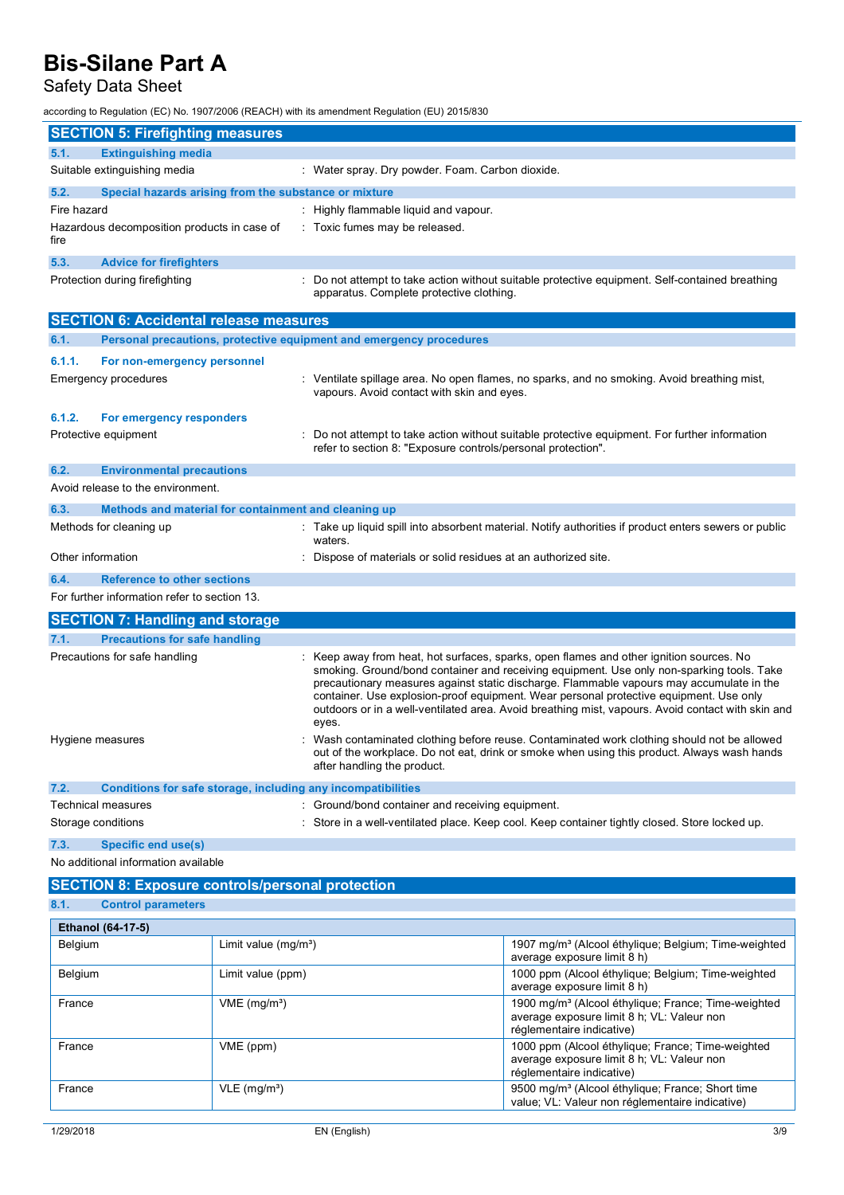## Safety Data Sheet

according to Regulation (EC) No. 1907/2006 (REACH) with its amendment Regulation (EU) 2015/830

| <b>SECTION 5: Firefighting measures</b>                                     |                                                                                                                                                                                                                                                                                                                                                                                                                                                                                        |
|-----------------------------------------------------------------------------|----------------------------------------------------------------------------------------------------------------------------------------------------------------------------------------------------------------------------------------------------------------------------------------------------------------------------------------------------------------------------------------------------------------------------------------------------------------------------------------|
| <b>Extinguishing media</b><br>5.1.                                          |                                                                                                                                                                                                                                                                                                                                                                                                                                                                                        |
| Suitable extinguishing media                                                | : Water spray. Dry powder. Foam. Carbon dioxide.                                                                                                                                                                                                                                                                                                                                                                                                                                       |
| 5.2.<br>Special hazards arising from the substance or mixture               |                                                                                                                                                                                                                                                                                                                                                                                                                                                                                        |
| Fire hazard                                                                 | : Highly flammable liquid and vapour.                                                                                                                                                                                                                                                                                                                                                                                                                                                  |
| Hazardous decomposition products in case of<br>fire                         | : Toxic fumes may be released.                                                                                                                                                                                                                                                                                                                                                                                                                                                         |
| 5.3.<br><b>Advice for firefighters</b>                                      |                                                                                                                                                                                                                                                                                                                                                                                                                                                                                        |
| Protection during firefighting                                              | : Do not attempt to take action without suitable protective equipment. Self-contained breathing<br>apparatus. Complete protective clothing.                                                                                                                                                                                                                                                                                                                                            |
| <b>SECTION 6: Accidental release measures</b>                               |                                                                                                                                                                                                                                                                                                                                                                                                                                                                                        |
| Personal precautions, protective equipment and emergency procedures<br>6.1. |                                                                                                                                                                                                                                                                                                                                                                                                                                                                                        |
| 6.1.1.<br>For non-emergency personnel                                       |                                                                                                                                                                                                                                                                                                                                                                                                                                                                                        |
| Emergency procedures                                                        | : Ventilate spillage area. No open flames, no sparks, and no smoking. Avoid breathing mist,<br>vapours. Avoid contact with skin and eyes.                                                                                                                                                                                                                                                                                                                                              |
| 6.1.2.<br>For emergency responders                                          |                                                                                                                                                                                                                                                                                                                                                                                                                                                                                        |
| Protective equipment                                                        | Do not attempt to take action without suitable protective equipment. For further information<br>refer to section 8: "Exposure controls/personal protection".                                                                                                                                                                                                                                                                                                                           |
| 6.2.<br><b>Environmental precautions</b>                                    |                                                                                                                                                                                                                                                                                                                                                                                                                                                                                        |
| Avoid release to the environment.                                           |                                                                                                                                                                                                                                                                                                                                                                                                                                                                                        |
| 6.3.<br>Methods and material for containment and cleaning up                |                                                                                                                                                                                                                                                                                                                                                                                                                                                                                        |
| Methods for cleaning up                                                     | : Take up liquid spill into absorbent material. Notify authorities if product enters sewers or public<br>waters.                                                                                                                                                                                                                                                                                                                                                                       |
| Other information                                                           | Dispose of materials or solid residues at an authorized site.                                                                                                                                                                                                                                                                                                                                                                                                                          |
| 6.4.<br><b>Reference to other sections</b>                                  |                                                                                                                                                                                                                                                                                                                                                                                                                                                                                        |
| For further information refer to section 13.                                |                                                                                                                                                                                                                                                                                                                                                                                                                                                                                        |
| <b>SECTION 7: Handling and storage</b>                                      |                                                                                                                                                                                                                                                                                                                                                                                                                                                                                        |
| 7.1.<br><b>Precautions for safe handling</b>                                |                                                                                                                                                                                                                                                                                                                                                                                                                                                                                        |
| Precautions for safe handling                                               | Keep away from heat, hot surfaces, sparks, open flames and other ignition sources. No<br>smoking. Ground/bond container and receiving equipment. Use only non-sparking tools. Take<br>precautionary measures against static discharge. Flammable vapours may accumulate in the<br>container. Use explosion-proof equipment. Wear personal protective equipment. Use only<br>outdoors or in a well-ventilated area. Avoid breathing mist, vapours. Avoid contact with skin and<br>eyes. |
| Hygiene measures                                                            | Wash contaminated clothing before reuse. Contaminated work clothing should not be allowed<br>out of the workplace. Do not eat, drink or smoke when using this product. Always wash hands<br>after handling the product.                                                                                                                                                                                                                                                                |
| 7.2.<br>Conditions for safe storage, including any incompatibilities        |                                                                                                                                                                                                                                                                                                                                                                                                                                                                                        |
| <b>Technical measures</b><br>Storage conditions                             | : Ground/bond container and receiving equipment.<br>: Store in a well-ventilated place. Keep cool. Keep container tightly closed. Store locked up.                                                                                                                                                                                                                                                                                                                                     |
| 7.3.<br><b>Specific end use(s)</b><br>No additional information available   |                                                                                                                                                                                                                                                                                                                                                                                                                                                                                        |
| <b>SECTION 8: Exposure controls/personal protection</b>                     |                                                                                                                                                                                                                                                                                                                                                                                                                                                                                        |
|                                                                             |                                                                                                                                                                                                                                                                                                                                                                                                                                                                                        |

|      | ,我们也不会有什么。""我们,我们也不会有什么?""我们,我们也不会有什么?""我们,我们也不会有什么?""我们,我们也不会有什么?""我们,我们也不会有什么? |
|------|----------------------------------------------------------------------------------|
| 8.1. | <b>Control parameters</b>                                                        |

| <b>Ethanol (64-17-5)</b> |                            |                                                                                                                                            |  |
|--------------------------|----------------------------|--------------------------------------------------------------------------------------------------------------------------------------------|--|
| Belgium                  | Limit value $(mg/m3)$      | 1907 mg/m <sup>3</sup> (Alcool éthylique; Belgium; Time-weighted<br>average exposure limit 8 h)                                            |  |
| Belgium                  | Limit value (ppm)          | 1000 ppm (Alcool éthylique; Belgium; Time-weighted<br>average exposure limit 8 h)                                                          |  |
| France                   | $VME$ (mg/m <sup>3</sup> ) | 1900 mg/m <sup>3</sup> (Alcool éthylique; France; Time-weighted<br>average exposure limit 8 h; VL: Valeur non<br>réglementaire indicative) |  |
| France                   | VME (ppm)                  | 1000 ppm (Alcool éthylique; France; Time-weighted<br>average exposure limit 8 h; VL: Valeur non<br>réglementaire indicative)               |  |
| France                   | $VLE$ (mg/m <sup>3</sup> ) | 9500 mg/m <sup>3</sup> (Alcool éthylique; France; Short time<br>value; VL: Valeur non réglementaire indicative)                            |  |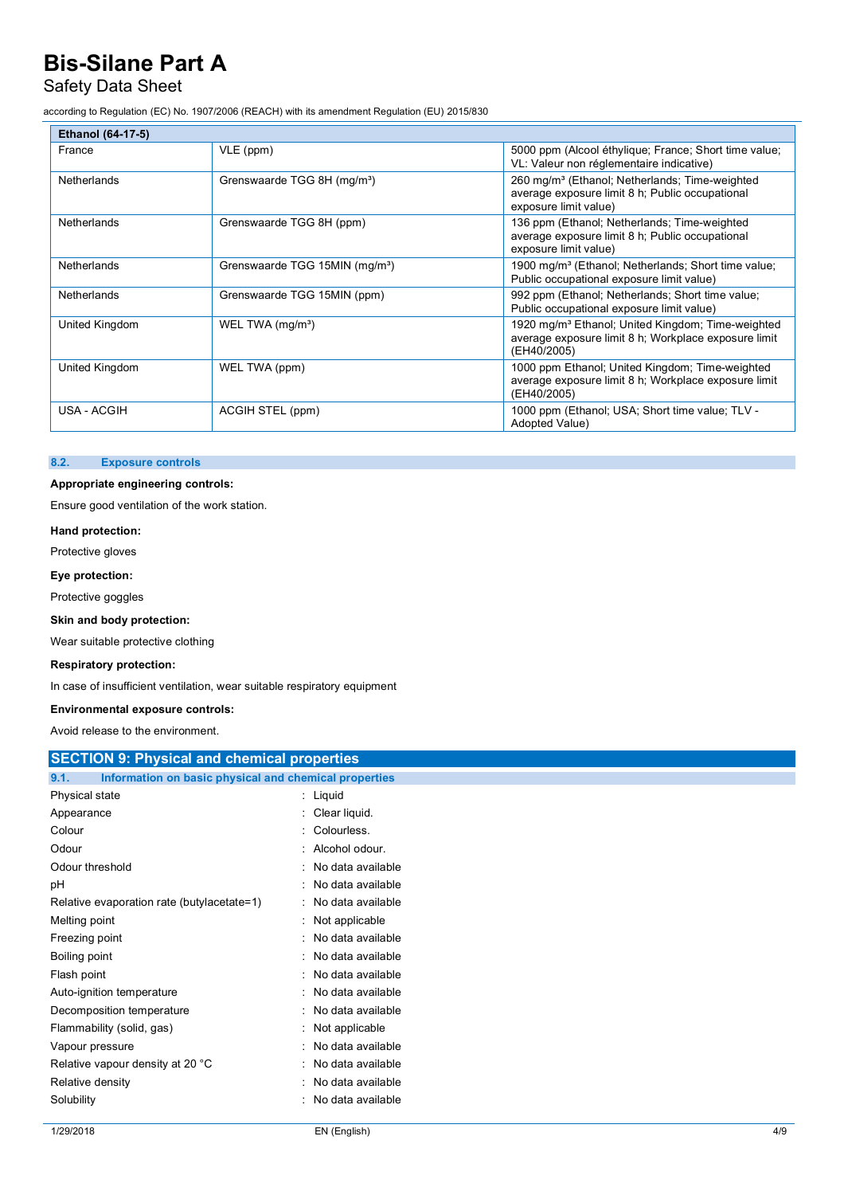## Safety Data Sheet

according to Regulation (EC) No. 1907/2006 (REACH) with its amendment Regulation (EU) 2015/830

| <b>Ethanol (64-17-5)</b> |                                            |                                                                                                                                        |
|--------------------------|--------------------------------------------|----------------------------------------------------------------------------------------------------------------------------------------|
| France                   | VLE (ppm)                                  | 5000 ppm (Alcool éthylique; France; Short time value;<br>VL: Valeur non réglementaire indicative)                                      |
| <b>Netherlands</b>       | Grenswaarde TGG 8H (mg/m <sup>3</sup> )    | 260 mg/m <sup>3</sup> (Ethanol; Netherlands; Time-weighted<br>average exposure limit 8 h; Public occupational<br>exposure limit value) |
| <b>Netherlands</b>       | Grenswaarde TGG 8H (ppm)                   | 136 ppm (Ethanol; Netherlands; Time-weighted<br>average exposure limit 8 h; Public occupational<br>exposure limit value)               |
| Netherlands              | Grenswaarde TGG 15MIN (mg/m <sup>3</sup> ) | 1900 mg/m <sup>3</sup> (Ethanol; Netherlands; Short time value;<br>Public occupational exposure limit value)                           |
| <b>Netherlands</b>       | Grenswaarde TGG 15MIN (ppm)                | 992 ppm (Ethanol; Netherlands; Short time value;<br>Public occupational exposure limit value)                                          |
| United Kingdom           | WEL TWA (mg/m <sup>3</sup> )               | 1920 mg/m <sup>3</sup> Ethanol; United Kingdom; Time-weighted<br>average exposure limit 8 h; Workplace exposure limit<br>(EH40/2005)   |
| United Kingdom           | WEL TWA (ppm)                              | 1000 ppm Ethanol; United Kingdom; Time-weighted<br>average exposure limit 8 h; Workplace exposure limit<br>(EH40/2005)                 |
| USA - ACGIH              | ACGIH STEL (ppm)                           | 1000 ppm (Ethanol; USA; Short time value; TLV -<br>Adopted Value)                                                                      |

#### **8.2. Exposure controls**

#### **Appropriate engineering controls:**

Ensure good ventilation of the work station.

#### **Hand protection:**

Protective gloves

#### **Eye protection:**

Protective goggles

#### **Skin and body protection:**

Wear suitable protective clothing

#### **Respiratory protection:**

In case of insufficient ventilation, wear suitable respiratory equipment

#### **Environmental exposure controls:**

Avoid release to the environment.

| AVOID TUICOSU ID ITU UITVII OHITULIII.                        |                        |  |  |
|---------------------------------------------------------------|------------------------|--|--|
| <b>SECTION 9: Physical and chemical properties</b>            |                        |  |  |
| Information on basic physical and chemical properties<br>9.1. |                        |  |  |
| Physical state                                                | : Liquid               |  |  |
| Appearance                                                    | Clear liquid.          |  |  |
| Colour                                                        | Colourless.            |  |  |
| Odour                                                         | Alcohol odour.         |  |  |
| Odour threshold                                               | No data available      |  |  |
| рH                                                            | No data available      |  |  |
| Relative evaporation rate (butylacetate=1)                    | No data available      |  |  |
| Melting point                                                 | Not applicable         |  |  |
| Freezing point                                                | No data available      |  |  |
| Boiling point                                                 | No data available      |  |  |
| Flash point                                                   | No data available      |  |  |
| Auto-ignition temperature                                     | No data available<br>÷ |  |  |
| Decomposition temperature                                     | No data available      |  |  |
| Flammability (solid, gas)                                     | Not applicable         |  |  |
| Vapour pressure                                               | No data available      |  |  |
| Relative vapour density at 20 °C                              | No data available<br>÷ |  |  |
| Relative density                                              | No data available      |  |  |
| Solubility                                                    | No data available      |  |  |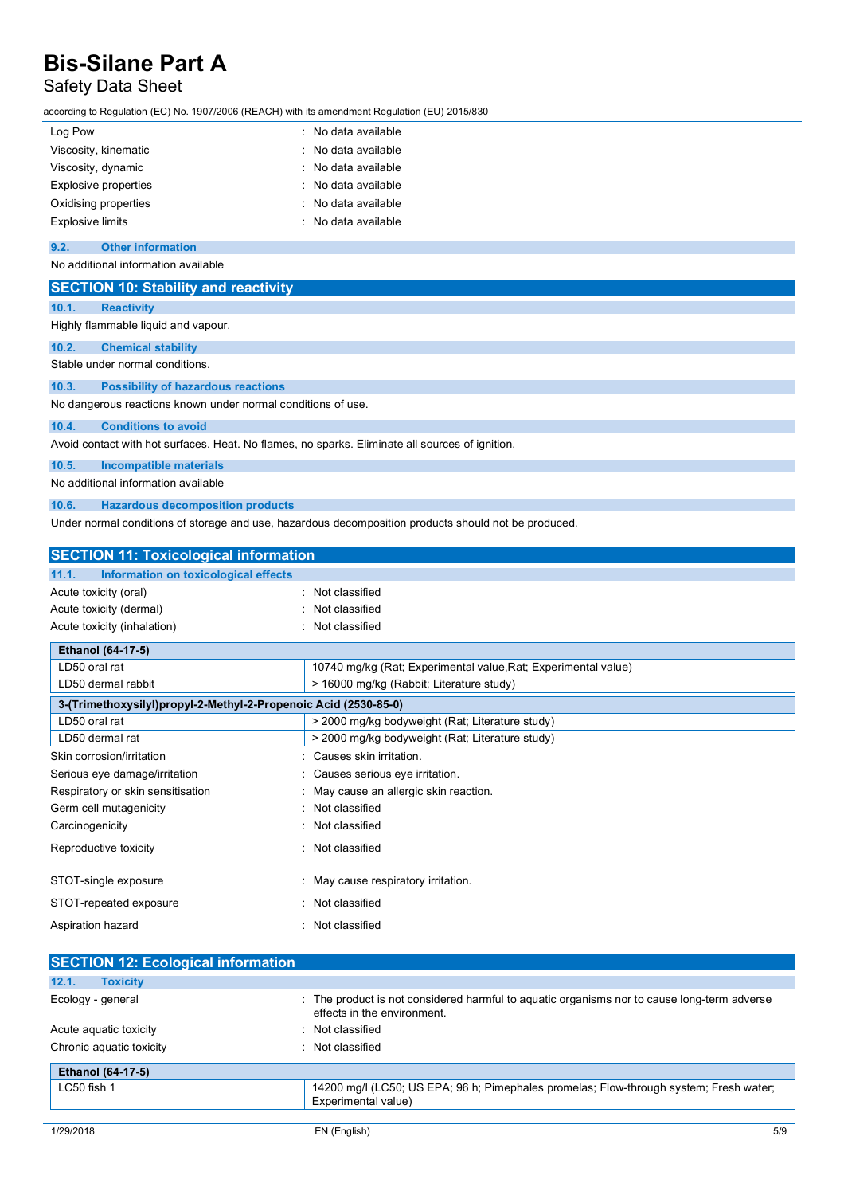## Safety Data Sheet

according to Regulation (EC) No. 1907/2006 (REACH) with its amendment Regulation (EU) 2015/830

| Log Pow                     | : No data available |
|-----------------------------|---------------------|
| Viscosity, kinematic        | : No data available |
| Viscosity, dynamic          | : No data available |
| <b>Explosive properties</b> | : No data available |
| Oxidising properties        | : No data available |
| <b>Explosive limits</b>     | : No data available |

#### **9.2. Other information**

No additional information available

|                                                                                                 | <b>SECTION 10: Stability and reactivity</b> |  |
|-------------------------------------------------------------------------------------------------|---------------------------------------------|--|
| 10.1.                                                                                           | <b>Reactivity</b>                           |  |
|                                                                                                 | Highly flammable liquid and vapour.         |  |
| 10.2.                                                                                           | <b>Chemical stability</b>                   |  |
|                                                                                                 | Stable under normal conditions.             |  |
| 10.3.                                                                                           | <b>Possibility of hazardous reactions</b>   |  |
| No dangerous reactions known under normal conditions of use.                                    |                                             |  |
| 10.4.                                                                                           | <b>Conditions to avoid</b>                  |  |
| Avoid contact with hot surfaces. Heat. No flames, no sparks. Eliminate all sources of ignition. |                                             |  |
| 10.5.                                                                                           | <b>Incompatible materials</b>               |  |

No additional information available

**10.6. Hazardous decomposition products**

Under normal conditions of storage and use, hazardous decomposition products should not be produced.

| <b>SECTION 11: Toxicological information</b>                    |                                                                |  |  |
|-----------------------------------------------------------------|----------------------------------------------------------------|--|--|
| 11.1.<br>Information on toxicological effects                   |                                                                |  |  |
| Acute toxicity (oral)                                           | Not classified                                                 |  |  |
| Acute toxicity (dermal)                                         | Not classified                                                 |  |  |
| Acute toxicity (inhalation)                                     | Not classified                                                 |  |  |
| <b>Ethanol (64-17-5)</b>                                        |                                                                |  |  |
| LD50 oral rat                                                   | 10740 mg/kg (Rat; Experimental value, Rat; Experimental value) |  |  |
| LD50 dermal rabbit                                              | > 16000 mg/kg (Rabbit; Literature study)                       |  |  |
| 3-(Trimethoxysilyl)propyl-2-Methyl-2-Propenoic Acid (2530-85-0) |                                                                |  |  |
| LD50 oral rat                                                   | > 2000 mg/kg bodyweight (Rat; Literature study)                |  |  |
| LD50 dermal rat                                                 | > 2000 mg/kg bodyweight (Rat; Literature study)                |  |  |
| Skin corrosion/irritation                                       | : Causes skin irritation.                                      |  |  |
| Serious eye damage/irritation                                   | Causes serious eye irritation.                                 |  |  |
| Respiratory or skin sensitisation                               | May cause an allergic skin reaction.                           |  |  |
| Germ cell mutagenicity                                          | Not classified                                                 |  |  |
| Carcinogenicity                                                 | Not classified                                                 |  |  |
| Reproductive toxicity                                           | Not classified                                                 |  |  |
| STOT-single exposure                                            | May cause respiratory irritation.                              |  |  |
| STOT-repeated exposure                                          | Not classified                                                 |  |  |
| Aspiration hazard                                               | Not classified                                                 |  |  |

| <b>SECTION 12: Ecological information</b> |                                                                                                                            |
|-------------------------------------------|----------------------------------------------------------------------------------------------------------------------------|
| 12.1.<br><b>Toxicity</b>                  |                                                                                                                            |
| Ecology - general                         | : The product is not considered harmful to aguatic organisms nor to cause long-term adverse<br>effects in the environment. |
| Acute aguatic toxicity                    | : Not classified                                                                                                           |
| Chronic aquatic toxicity                  | : Not classified                                                                                                           |
| <b>Ethanol (64-17-5)</b>                  |                                                                                                                            |
| LC50 fish 1                               | 14200 mg/l (LC50; US EPA; 96 h; Pimephales promelas; Flow-through system; Fresh water;<br>Experimental value)              |
|                                           |                                                                                                                            |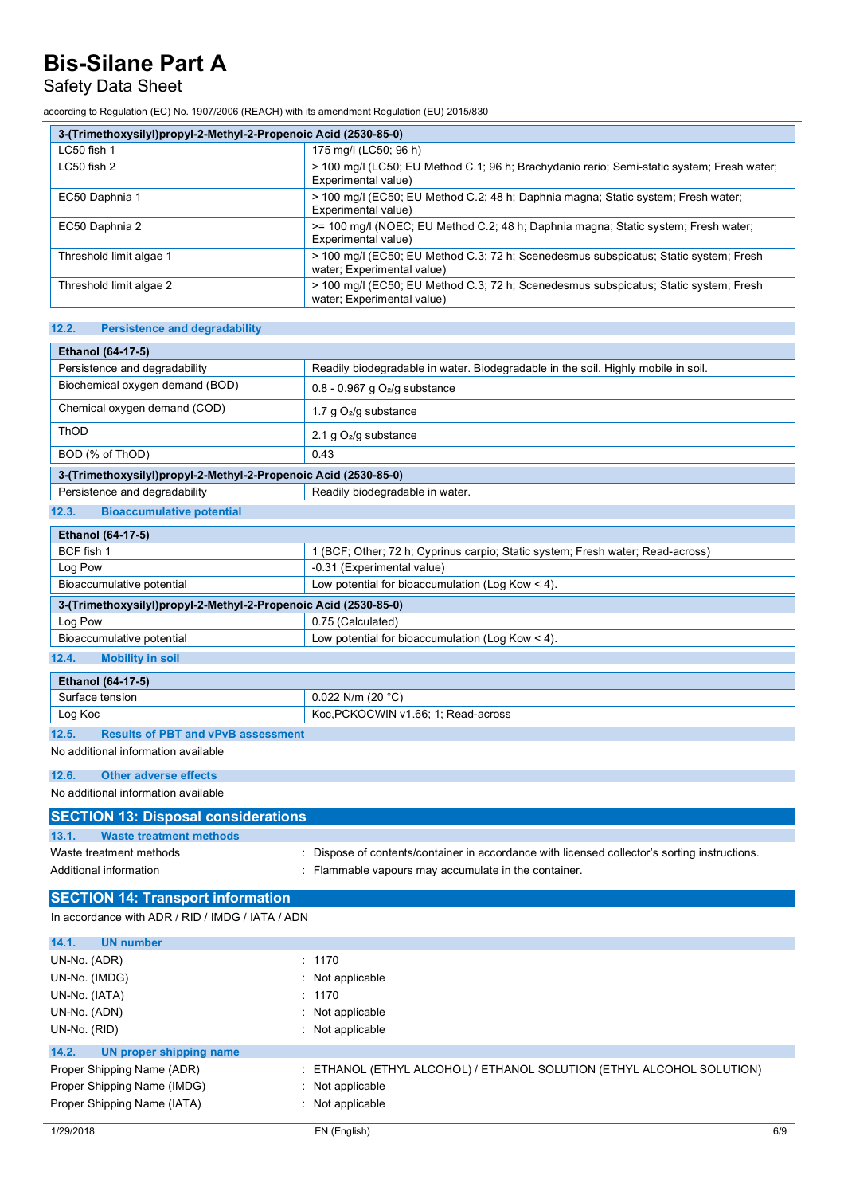### Safety Data Sheet

according to Regulation (EC) No. 1907/2006 (REACH) with its amendment Regulation (EU) 2015/830

| 3-(Trimethoxysilyl)propyl-2-Methyl-2-Propenoic Acid (2530-85-0) |                                                                                                                    |  |
|-----------------------------------------------------------------|--------------------------------------------------------------------------------------------------------------------|--|
| LC50 fish 1                                                     | 175 mg/l (LC50; 96 h)                                                                                              |  |
| LC50 fish 2                                                     | > 100 mg/l (LC50; EU Method C.1; 96 h; Brachydanio rerio; Semi-static system; Fresh water;<br>Experimental value)  |  |
| EC50 Daphnia 1                                                  | > 100 mg/l (EC50; EU Method C.2; 48 h; Daphnia magna; Static system; Fresh water;<br>Experimental value)           |  |
| EC50 Daphnia 2                                                  | >= 100 mg/l (NOEC; EU Method C.2; 48 h; Daphnia magna; Static system; Fresh water;<br>Experimental value)          |  |
| Threshold limit algae 1                                         | > 100 mg/l (EC50; EU Method C.3; 72 h; Scenedesmus subspicatus; Static system; Fresh<br>water; Experimental value) |  |
| Threshold limit algae 2                                         | > 100 mg/l (EC50; EU Method C.3; 72 h; Scenedesmus subspicatus; Static system; Fresh<br>water; Experimental value) |  |

#### **12.2. Persistence and degradability**

| <b>Ethanol (64-17-5)</b>                                        |                                                                                   |  |
|-----------------------------------------------------------------|-----------------------------------------------------------------------------------|--|
| Persistence and degradability                                   | Readily biodegradable in water. Biodegradable in the soil. Highly mobile in soil. |  |
| Biochemical oxygen demand (BOD)                                 | $0.8 - 0.967$ g O <sub>2</sub> /g substance                                       |  |
| Chemical oxygen demand (COD)                                    | 1.7 g $O_2$ /g substance                                                          |  |
| ThOD                                                            | 2.1 g $O_2$ /g substance                                                          |  |
| BOD (% of ThOD)                                                 | 0.43                                                                              |  |
| 3-(Trimethoxysilyl)propyl-2-Methyl-2-Propenoic Acid (2530-85-0) |                                                                                   |  |
| Persistence and degradability                                   | Readily biodegradable in water.                                                   |  |

#### **12.3. Bioaccumulative potential**

| <b>Ethanol (64-17-5)</b>                                        |                                                                              |  |  |
|-----------------------------------------------------------------|------------------------------------------------------------------------------|--|--|
| BCF fish 1                                                      | (BCF; Other; 72 h; Cyprinus carpio; Static system; Fresh water; Read-across) |  |  |
| Log Pow                                                         | -0.31 (Experimental value)                                                   |  |  |
| Bioaccumulative potential                                       | Low potential for bioaccumulation (Log Kow $<$ 4).                           |  |  |
| 3-(Trimethoxysilyl)propyl-2-Methyl-2-Propenoic Acid (2530-85-0) |                                                                              |  |  |
| Log Pow                                                         | 0.75 (Calculated)                                                            |  |  |
| Bioaccumulative potential                                       | Low potential for bioaccumulation (Log Kow $<$ 4).                           |  |  |
| 12.4.<br><b>Mobility in soil</b>                                |                                                                              |  |  |

#### **Ethanol (64-17-5)**

| Ethanol (64-17-5) |                                     |  |
|-------------------|-------------------------------------|--|
| Surface tension   | 0.022 N/m (20 $^{\circ}$ C)         |  |
| Log Koc           | Koc, PCKOCWIN v1.66; 1; Read-across |  |
| $\overline{10}$   |                                     |  |

#### **12.5. Results of PBT and vPvB assessment**

No additional information available

#### **12.6. Other adverse effects**

No additional information available

| <b>SECTION 13: Disposal considerations</b> |                                                                                               |  |  |
|--------------------------------------------|-----------------------------------------------------------------------------------------------|--|--|
| 13.1.<br><b>Waste treatment methods</b>    |                                                                                               |  |  |
| Waste treatment methods                    | : Dispose of contents/container in accordance with licensed collector's sorting instructions. |  |  |
| Additional information                     | : Flammable vapours may accumulate in the container.                                          |  |  |
|                                            |                                                                                               |  |  |

### **SECTION 14: Transport information**

In accordance with ADR / RID / IMDG / IATA / ADN

| <b>UN</b> number<br>14.1.        |                                                                       |     |
|----------------------------------|-----------------------------------------------------------------------|-----|
| UN-No. (ADR)                     | : 1170                                                                |     |
| UN-No. (IMDG)                    | $\therefore$ Not applicable                                           |     |
| UN-No. (IATA)                    | : 1170                                                                |     |
| UN-No. (ADN)                     | $:$ Not applicable                                                    |     |
| UN-No. (RID)                     | $:$ Not applicable                                                    |     |
| 14.2.<br>UN proper shipping name |                                                                       |     |
| Proper Shipping Name (ADR)       | : ETHANOL (ETHYL ALCOHOL) / ETHANOL SOLUTION (ETHYL ALCOHOL SOLUTION) |     |
| Proper Shipping Name (IMDG)      | : Not applicable                                                      |     |
| Proper Shipping Name (IATA)      | $\therefore$ Not applicable                                           |     |
| 1/29/2018                        | EN (English)                                                          | 6/9 |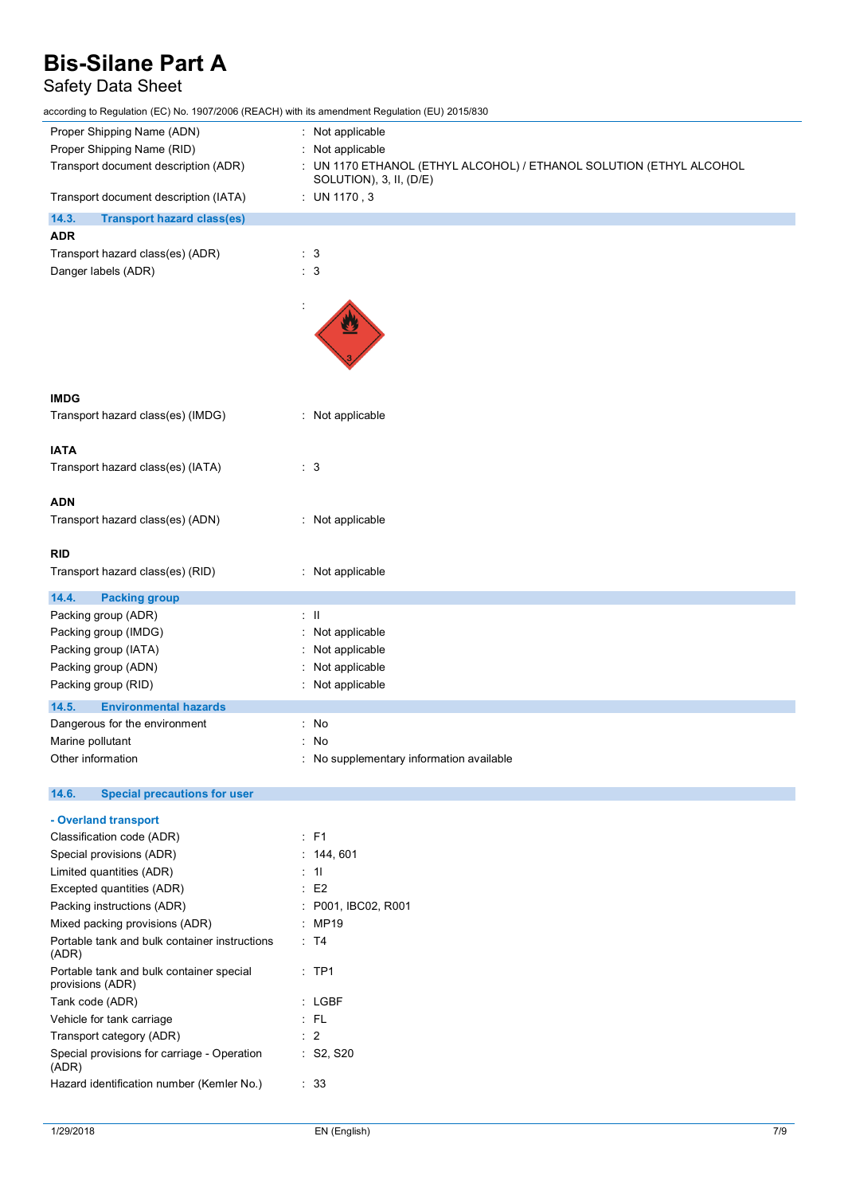## Safety Data Sheet

according to Regulation (EC) No. 1907/2006 (REACH) with its amendment Regulation (EU) 2015/830

| according to Regulation (EC) No. 1907/2006 (REACH) with its amendment Regulation (EO) 2015/830 |                                                                     |
|------------------------------------------------------------------------------------------------|---------------------------------------------------------------------|
| Proper Shipping Name (ADN)                                                                     | : Not applicable                                                    |
| Proper Shipping Name (RID)                                                                     | Not applicable                                                      |
| Transport document description (ADR)                                                           | : UN 1170 ETHANOL (ETHYL ALCOHOL) / ETHANOL SOLUTION (ETHYL ALCOHOL |
|                                                                                                | SOLUTION), 3, II, (D/E)                                             |
| Transport document description (IATA)                                                          | : UN 1170, 3                                                        |
| 14.3.<br><b>Transport hazard class(es)</b>                                                     |                                                                     |
| <b>ADR</b>                                                                                     |                                                                     |
| Transport hazard class(es) (ADR)                                                               | $\therefore$ 3                                                      |
| Danger labels (ADR)                                                                            | $\therefore$ 3                                                      |
|                                                                                                |                                                                     |
|                                                                                                |                                                                     |
|                                                                                                |                                                                     |
|                                                                                                |                                                                     |
|                                                                                                |                                                                     |
|                                                                                                |                                                                     |
|                                                                                                |                                                                     |
| <b>IMDG</b>                                                                                    |                                                                     |
| Transport hazard class(es) (IMDG)                                                              | : Not applicable                                                    |
|                                                                                                |                                                                     |
| <b>IATA</b>                                                                                    |                                                                     |
| Transport hazard class(es) (IATA)                                                              | $\therefore$ 3                                                      |
|                                                                                                |                                                                     |
| <b>ADN</b>                                                                                     |                                                                     |
| Transport hazard class(es) (ADN)                                                               | : Not applicable                                                    |
|                                                                                                |                                                                     |
| <b>RID</b>                                                                                     |                                                                     |
|                                                                                                |                                                                     |
| Transport hazard class(es) (RID)                                                               | : Not applicable                                                    |
| 14.4.<br><b>Packing group</b>                                                                  |                                                                     |
| Packing group (ADR)                                                                            | $\therefore$ $\parallel$                                            |
| Packing group (IMDG)                                                                           | : Not applicable                                                    |
| Packing group (IATA)                                                                           | Not applicable                                                      |
| Packing group (ADN)                                                                            | Not applicable                                                      |
|                                                                                                |                                                                     |
| Packing group (RID)                                                                            | : Not applicable                                                    |
| 14.5.<br><b>Environmental hazards</b>                                                          |                                                                     |
| Dangerous for the environment                                                                  | : No                                                                |
| Marine pollutant                                                                               | : No                                                                |
| Other information                                                                              | : No supplementary information available                            |
|                                                                                                |                                                                     |
| 14.6.<br><b>Special precautions for user</b>                                                   |                                                                     |
| - Overland transport                                                                           |                                                                     |
| Classification code (ADR)                                                                      | $:$ F1                                                              |
| Special provisions (ADR)                                                                       |                                                                     |
|                                                                                                | : 144,601                                                           |
| Limited quantities (ADR)                                                                       | : 11                                                                |
| Excepted quantities (ADR)                                                                      | $\therefore$ E2                                                     |
| Packing instructions (ADR)                                                                     | : P001, IBC02, R001                                                 |
| Mixed packing provisions (ADR)                                                                 | : MP19                                                              |
| Portable tank and bulk container instructions<br>(ADR)                                         | : T4                                                                |
| Portable tank and bulk container special<br>provisions (ADR)                                   | $:$ TP1                                                             |
| Tank code (ADR)                                                                                | $:$ LGBF                                                            |
| Vehicle for tank carriage                                                                      | $\therefore$ FL                                                     |
| Transport category (ADR)                                                                       | $\therefore$ 2                                                      |
| Special provisions for carriage - Operation                                                    | : S2, S20                                                           |
| (ADR)                                                                                          |                                                                     |
| Hazard identification number (Kemler No.)                                                      | : 33                                                                |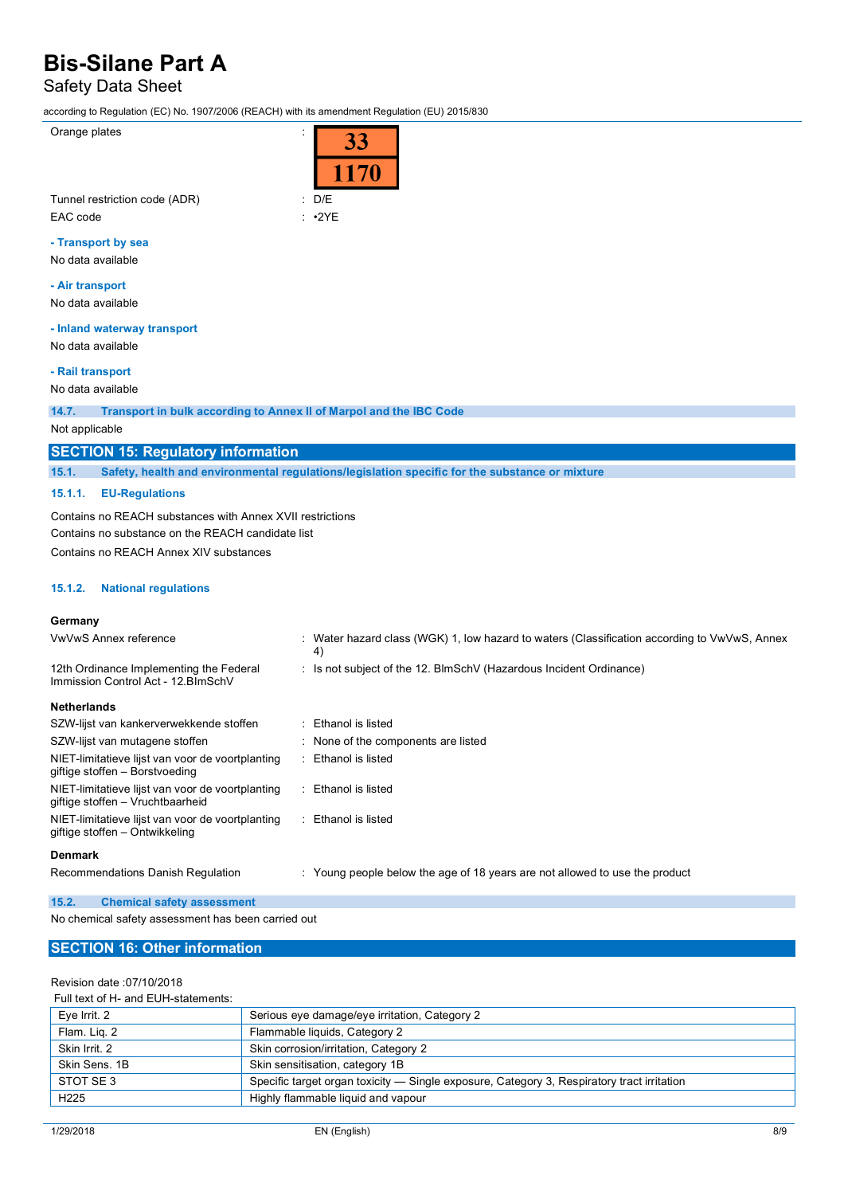### Safety Data Sheet

according to Regulation (EC) No. 1907/2006 (REACH) with its amendment Regulation (EU) 2015/830

Orange plates in the set of the set of the set of the set of the set of the set of the set of the set of the set of the set of the set of the set of the set of the set of the set of the set of the set of the set of the set

| D/E |  |
|-----|--|

Tunnel restriction code (ADR) : D/E is a contract of the state of the state of the state of the state of the state of the state of the state of the state of the state of the state of the state of the state of the state of EAC code : •2YE

#### **- Transport by sea**

No data available

#### **- Air transport**

No data available

#### **- Inland waterway transport**

No data available

#### **- Rail transport**

No data available

**14.7. Transport in bulk according to Annex II of Marpol and the IBC Code**

#### Not applicable

#### **SECTION 15: Regulatory information**

**15.1. Safety, health and environmental regulations/legislation specific for the substance or mixture**

#### **15.1.1. EU-Regulations**

Contains no REACH substances with Annex XVII restrictions Contains no substance on the REACH candidate list Contains no REACH Annex XIV substances

#### **15.1.2. National regulations**

#### **Germany**

| VwVwS Annex reference                                                                | : Water hazard class (WGK) 1, low hazard to waters (Classification according to VwVwS, Annex<br>4) |
|--------------------------------------------------------------------------------------|----------------------------------------------------------------------------------------------------|
| 12th Ordinance Implementing the Federal<br>Immission Control Act - 12. BlmSchV       | : Is not subject of the 12. BlmSchV (Hazardous Incident Ordinance)                                 |
| <b>Netherlands</b>                                                                   |                                                                                                    |
| SZW-lijst van kankerverwekkende stoffen                                              | : Ethanol is listed                                                                                |
| SZW-lijst van mutagene stoffen                                                       | : None of the components are listed                                                                |
| NIET-limitatieve lijst van voor de voortplanting<br>giftige stoffen - Borstvoeding   | Ethanol is listed                                                                                  |
| NIET-limitatieve lijst van voor de voortplanting<br>giftige stoffen - Vruchtbaarheid | Ethanol is listed                                                                                  |
| NIET-limitatieve lijst van voor de voortplanting<br>giftige stoffen – Ontwikkeling   | Ethanol is listed                                                                                  |
| <b>Denmark</b>                                                                       |                                                                                                    |
| Recommendations Danish Regulation                                                    | : Young people below the age of 18 years are not allowed to use the product                        |

#### **15.2. Chemical safety assessment**

No chemical safety assessment has been carried out

#### **SECTION 16: Other information**

#### Revision date :07/10/2018

#### Full text of H- and EUH-statements:

| Eye Irrit. 2     | Serious eye damage/eye irritation, Category 2                                              |
|------------------|--------------------------------------------------------------------------------------------|
| Flam. Lig. 2     | Flammable liquids, Category 2                                                              |
| Skin Irrit, 2    | Skin corrosion/irritation, Category 2                                                      |
| Skin Sens, 1B    | Skin sensitisation, category 1B                                                            |
| STOT SE 3        | Specific target organ toxicity — Single exposure, Category 3, Respiratory tract irritation |
| H <sub>225</sub> | Highly flammable liquid and vapour                                                         |